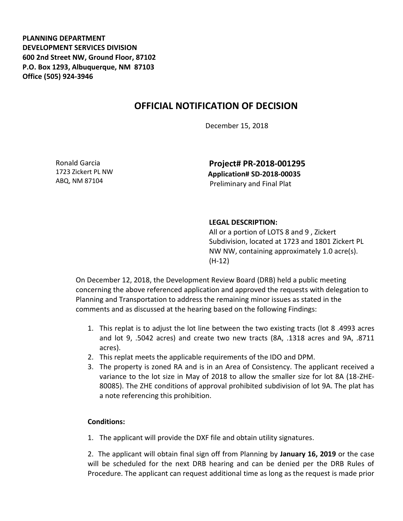**PLANNING DEPARTMENT DEVELOPMENT SERVICES DIVISION 600 2nd Street NW, Ground Floor, 87102 P.O. Box 1293, Albuquerque, NM 87103 Office (505) 924-3946** 

## **OFFICIAL NOTIFICATION OF DECISION**

December 15, 2018

Ronald Garcia 1723 Zickert PL NW ABQ, NM 87104

**Project# PR-2018-001295 Application# SD-2018-00035** Preliminary and Final Plat

## **LEGAL DESCRIPTION:**

All or a portion of LOTS 8 and 9 , Zickert Subdivision, located at 1723 and 1801 Zickert PL NW NW, containing approximately 1.0 acre(s). (H-12)

On December 12, 2018, the Development Review Board (DRB) held a public meeting concerning the above referenced application and approved the requests with delegation to Planning and Transportation to address the remaining minor issues as stated in the comments and as discussed at the hearing based on the following Findings:

- 1. This replat is to adjust the lot line between the two existing tracts (lot 8 .4993 acres and lot 9, .5042 acres) and create two new tracts (8A, .1318 acres and 9A, .8711 acres).
- 2. This replat meets the applicable requirements of the IDO and DPM.
- 3. The property is zoned RA and is in an Area of Consistency. The applicant received a variance to the lot size in May of 2018 to allow the smaller size for lot 8A (18-ZHE-80085). The ZHE conditions of approval prohibited subdivision of lot 9A. The plat has a note referencing this prohibition.

## **Conditions:**

1. The applicant will provide the DXF file and obtain utility signatures.

2. The applicant will obtain final sign off from Planning by **January 16, 2019** or the case will be scheduled for the next DRB hearing and can be denied per the DRB Rules of Procedure. The applicant can request additional time as long as the request is made prior